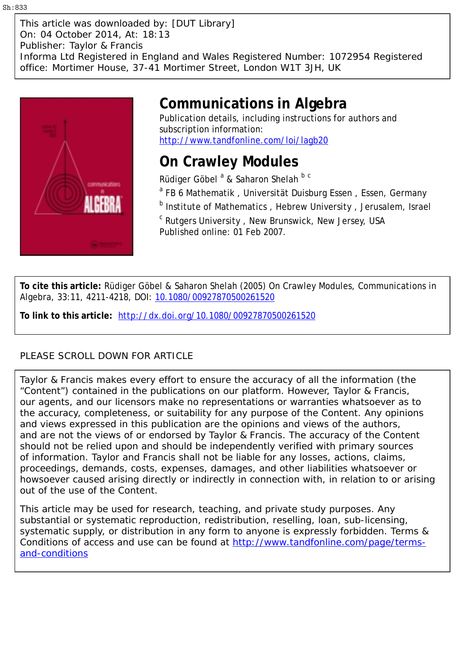This article was downloaded by: [DUT Library] On: 04 October 2014, At: 18:13 Publisher: Taylor & Francis Informa Ltd Registered in England and Wales Registered Number: 1072954 Registered office: Mortimer House, 37-41 Mortimer Street, London W1T 3JH, UK



# **Communications in Algebra**

Publication details, including instructions for authors and subscription information: <http://www.tandfonline.com/loi/lagb20>

# **On Crawley Modules**

Rüdiger Göbel<sup>a</sup> & Saharon Shelah <sup>b c</sup>

- <sup>a</sup> FB 6 Mathematik, Universität Duisburg Essen, Essen, Germany
- **b** Institute of Mathematics, Hebrew University, Jerusalem, Israel

<sup>c</sup> Rutgers University , New Brunswick, New Jersey, USA Published online: 01 Feb 2007.

**To cite this article:** Rüdiger Göbel & Saharon Shelah (2005) On Crawley Modules, Communications in Algebra, 33:11, 4211-4218, DOI: [10.1080/00927870500261520](http://www.tandfonline.com/action/showCitFormats?doi=10.1080/00927870500261520)

**To link to this article:** <http://dx.doi.org/10.1080/00927870500261520>

# PLEASE SCROLL DOWN FOR ARTICLE

Taylor & Francis makes every effort to ensure the accuracy of all the information (the "Content") contained in the publications on our platform. However, Taylor & Francis, our agents, and our licensors make no representations or warranties whatsoever as to the accuracy, completeness, or suitability for any purpose of the Content. Any opinions and views expressed in this publication are the opinions and views of the authors, and are not the views of or endorsed by Taylor & Francis. The accuracy of the Content should not be relied upon and should be independently verified with primary sources of information. Taylor and Francis shall not be liable for any losses, actions, claims, proceedings, demands, costs, expenses, damages, and other liabilities whatsoever or howsoever caused arising directly or indirectly in connection with, in relation to or arising out of the use of the Content.

This article may be used for research, teaching, and private study purposes. Any substantial or systematic reproduction, redistribution, reselling, loan, sub-licensing, systematic supply, or distribution in any form to anyone is expressly forbidden. Terms & Conditions of access and use can be found at [http://www.tandfonline.com/page/terms](http://www.tandfonline.com/page/terms-and-conditions)[and-conditions](http://www.tandfonline.com/page/terms-and-conditions)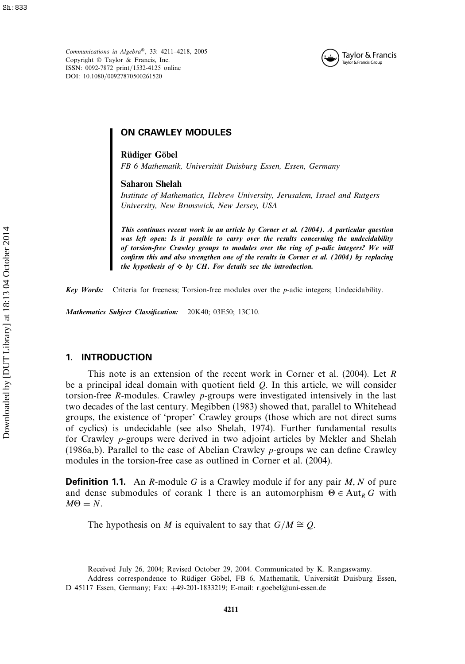*Communications in Algebra*®, 33: 4211–4218, 2005 Copyright © Taylor & Francis, Inc. ISSN: 0092-7872 print/1532-4125 online DOI: 10.1080/00927870500261520



# ON CRAWLEY MODULES

**Rüdiger Göbel**

*FB 6 Mathematik, Universität Duisburg Essen, Essen, Germany*

# **Saharon Shelah**

*Institute of Mathematics, Hebrew University, Jerusalem, Israel and Rutgers University, New Brunswick, New Jersey, USA*

*This continues recent work in an article by Corner et al. (2004). A particular question was left open: Is it possible to carry over the results concerning the undecidability of torsion-free Crawley groups to modules over the ring of p-adic integers? We will confirm this and also strengthen one of the results in Corner et al. (2004) by replacing the hypothesis of*  $\diamond$  *by CH. For details see the introduction.* 

*Key Words:* Criteria for freeness; Torsion-free modules over the p-adic integers; Undecidability.

*Mathematics Subject Classification:* 20K40; 03E50; 13C10.

# 1. INTRODUCTION

This note is an extension of the recent work in Corner et al. (2004). Let R be a principal ideal domain with quotient field  $Q$ . In this article, we will consider torsion-free R-modules. Crawley  $p$ -groups were investigated intensively in the last two decades of the last century. Megibben (1983) showed that, parallel to Whitehead groups, the existence of 'proper' Crawley groups (those which are not direct sums of cyclics) is undecidable (see also Shelah, 1974). Further fundamental results for Crawley p-groups were derived in two adjoint articles by Mekler and Shelah (1986a,b). Parallel to the case of Abelian Crawley p-groups we can define Crawley modules in the torsion-free case as outlined in Corner et al. (2004).

**Definition 1.1.** An R-module G is a Crawley module if for any pair  $M$ , N of pure and dense submodules of corank 1 there is an automorphism  $\Theta \in \text{Aut}_R G$  with  $M\Theta = N$ .

The hypothesis on M is equivalent to say that  $G/M \cong Q$ .

Received July 26, 2004; Revised October 29, 2004. Communicated by K. Rangaswamy.

Address correspondence to Rüdiger Göbel, FB 6, Mathematik, Universität Duisburg Essen, D 45117 Essen, Germany; Fax: +49-201-1833219; E-mail: r.goebel@uni-essen.de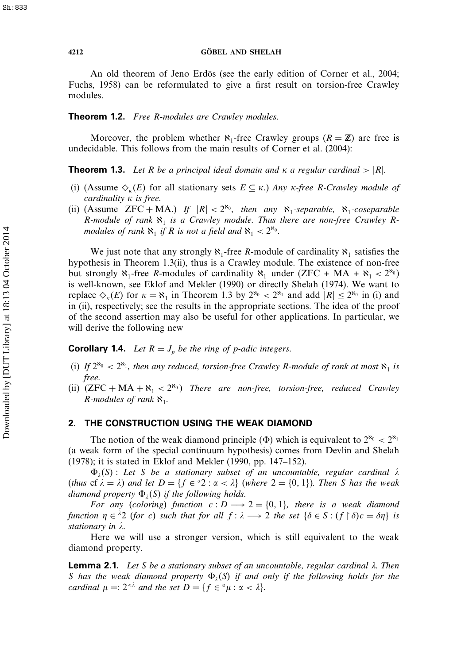## **4212 GÖBEL AND SHELAH**

An old theorem of Jeno Erdös (see the early edition of Corner et al., 2004; Fuchs, 1958) can be reformulated to give a first result on torsion-free Crawley modules.

# Theorem 1.2. *Free* R*-modules are Crawley modules.*

Moreover, the problem whether  $\aleph_1$ -free Crawley groups  $(R = \mathbb{Z})$  are free is undecidable. This follows from the main results of Corner et al. (2004):

**Theorem 1.3.** Let R be a principal ideal domain and  $\kappa$  a regular cardinal  $> |R|$ .

- (i) (Assume  $\Diamond_k(E)$  for all stationary sets  $E \subseteq \kappa$ .) *Any*  $\kappa$ -free *R*-Crawley module of *cardinality κ is free.*
- (ii) (Assume  $ZFC + MA$ .) If  $|R| < 2^{\aleph_0}$ , then any  $\aleph_1$ -separable,  $\aleph_1$ -coseparable R-module of rank  $\aleph_1$  is a Crawley module. Thus there are non-free Crawley R*modules of rank*  $\aleph_1$  *if* R *is not a field and*  $\aleph_1 < 2^{\aleph_0}$ *.*

We just note that any strongly  $\aleph_1$ -free R-module of cardinality  $\aleph_1$  satisfies the hypothesis in Theorem 1.3(ii), thus is a Crawley module. The existence of non-free but strongly  $\aleph_1$ -free R-modules of cardinality  $\aleph_1$  under (ZFC + MA +  $\aleph_1$  <  $2^{\aleph_0}$ ) is well-known, see Eklof and Mekler (1990) or directly Shelah (1974). We want to replace  $\Diamond_{k}(E)$  for  $\kappa = \aleph_1$  in Theorem 1.3 by  $2^{\aleph_0} < 2^{\aleph_1}$  and add  $|R| \leq 2^{\aleph_0}$  in (i) and in (ii), respectively; see the results in the appropriate sections. The idea of the proof of the second assertion may also be useful for other applications. In particular, we will derive the following new

**Corollary 1.4.** *Let*  $R = J_p$  *be the ring of p-adic integers.* 

- (i) If  $2^{\aleph_0} < 2^{\aleph_1}$ , then any reduced, torsion-free Crawley R-module of rank at most  $\aleph_1$  is *free.*
- (ii)  $(ZFC + MA + \aleph_1 < 2^{\aleph_0})$  *There are non-free, torsion-free, reduced Crawley R*-modules of rank  $\aleph_1$ .

# 2. THE CONSTRUCTION USING THE WEAK DIAMOND

The notion of the weak diamond principle ( $\Phi$ ) which is equivalent to  $2^{\aleph_0} < 2^{\aleph_1}$ (a weak form of the special continuum hypothesis) comes from Devlin and Shelah (1978); it is stated in Eklof and Mekler (1990, pp. 147–152).

 $\Phi_i(S)$ : Let S be a stationary subset of an uncountable, regular cardinal  $\lambda$ (*thus* cf  $\lambda = \lambda$ ) and let  $D = \{f \in {}^{\alpha}2 : \alpha < \lambda\}$  (*where*  $2 = \{0, 1\}$ *). Then* S has the weak *diamond property*  $\Phi_i(S)$  *if the following holds.* 

*For any* (*coloring*) *function*  $c: D \longrightarrow 2 = \{0, 1\}$ , *there is a weak diamond function*  $\eta \in {}^{\lambda}2$  (*for* c) *such that for all*  $f : \lambda \longrightarrow 2$  *the set*  $\{\delta \in S : (f \upharpoonright \delta)c = \delta\eta\}$  *is stationary in .*

Here we will use a stronger version, which is still equivalent to the weak diamond property.

Lemma 2.1. *Let* S *be a stationary subset of an uncountable, regular cardinal . Then* S has the weak diamond property  $\Phi_i(S)$  if and only if the following holds for the *cardinal*  $\mu =: 2^{<\lambda}$  *and the set*  $D = \{f \in \alpha \mu : \alpha < \lambda\}.$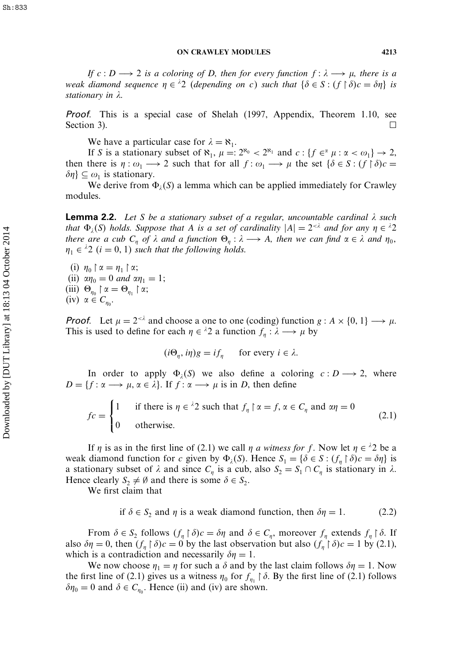*If*  $c: D \longrightarrow 2$  *is a coloring of* D, then for every function  $f: \lambda \longrightarrow \mu$ , there is a *weak diamond sequence*  $\eta \in {}^{\lambda}2$  (depending on c) such that  $\{\delta \in S : (f \upharpoonright \delta)c = \delta\eta\}$  is *stationary in .*

Proof. This is a special case of Shelah (1997, Appendix, Theorem 1.10, see Section 3).  $\Box$ 

We have a particular case for  $\lambda = \aleph_1$ .

If S is a stationary subset of  $\aleph_1$ ,  $\mu =: 2^{\aleph_0} < 2^{\aleph_1}$  and  $c: \{f \in \alpha \mu : \alpha < \omega_1\} \to 2$ , then there is  $\eta : \omega_1 \longrightarrow 2$  such that for all  $f : \omega_1 \longrightarrow \mu$  the set  $\{\delta \in S : (f \upharpoonright \delta)c =$  $\delta \eta$ }  $\subseteq \omega_1$  is stationary.

We derive from  $\Phi_{\lambda}(S)$  a lemma which can be applied immediately for Crawley modules.

Lemma 2.2. *Let* S *be a stationary subset of a regular, uncountable cardinal such that*  $\Phi_i(S)$  *holds. Suppose that* A *is a set of cardinality*  $|A| = 2^{*\lambda}*$  *and for any*  $\eta \in \lambda^2$ *there are a cub*  $C_n$  *of*  $\lambda$  *and a function*  $\Theta_n : \lambda \longrightarrow A$ *, then we can find*  $\alpha \in \lambda$  *and*  $\eta_0$ *,*  $\eta_1 \in {}^{\lambda}2$   $(i = 0, 1)$  such that the following holds.

(i)  $\eta_0 \upharpoonright \alpha = \eta_1 \upharpoonright \alpha;$ (ii)  $\alpha \eta_0 = 0$  and  $\alpha \eta_1 = 1$ ; (iii)  $\Theta_{\eta_0} \upharpoonright \alpha = \Theta_{\eta_1} \upharpoonright \alpha;$ (iv)  $\alpha \in C_{\eta_0}$ .

**Proof.** Let  $\mu = 2 < \lambda$  and choose a one to one (coding) function  $g : A \times \{0, 1\} \longrightarrow \mu$ . This is used to define for each  $\eta \in {}^{\lambda}2$  a function  $f_{\eta} : \lambda \longrightarrow \mu$  by

$$
(i\Theta_{\eta}, i\eta)g = if_{\eta} \quad \text{for every } i \in \lambda.
$$

In order to apply  $\Phi_{\lambda}(S)$  we also define a coloring  $c: D \longrightarrow 2$ , where  $D = \{f : \alpha \longrightarrow \mu, \alpha \in \lambda\}.$  If  $f : \alpha \longrightarrow \mu$  is in D, then define

$$
fc = \begin{cases} 1 & \text{if there is } \eta \in {}^{\lambda}2 \text{ such that } f_{\eta} \upharpoonright \alpha = f, \, \alpha \in C_{\eta} \text{ and } \alpha \eta = 0 \\ 0 & \text{otherwise.} \end{cases} \tag{2.1}
$$

If  $\eta$  is as in the first line of (2.1) we call  $\eta$  *a witness for* f. Now let  $\eta \in {}^{\lambda}2$  be a weak diamond function for c given by  $\Phi_{\lambda}(S)$ . Hence  $S_1 = {\delta \in S : (f_n \upharpoonright \delta)c = \delta \eta}$  is a stationary subset of  $\lambda$  and since  $C_n$  is a cub, also  $S_2 = S_1 \cap C_n$  is stationary in  $\lambda$ . Hence clearly  $S_2 \neq \emptyset$  and there is some  $\delta \in S_2$ .

We first claim that

if 
$$
\delta \in S_2
$$
 and  $\eta$  is a weak diamond function, then  $\delta \eta = 1$ . (2.2)

From  $\delta \in S_2$  follows  $(f_n \upharpoonright \delta)c = \delta \eta$  and  $\delta \in C_n$ , moreover  $f_n$  extends  $f_n \upharpoonright \delta$ . If also  $\delta \eta = 0$ , then  $(f_{\eta} \upharpoonright \delta)c = 0$  by the last observation but also  $(f_{\eta} \upharpoonright \delta)c = 1$  by (2.1), which is a contradiction and necessarily  $\delta \eta = 1$ .

We now choose  $\eta_1 = \eta$  for such a  $\delta$  and by the last claim follows  $\delta \eta = 1$ . Now the first line of (2.1) gives us a witness  $\eta_0$  for  $f_{\eta_1} \restriction \delta$ . By the first line of (2.1) follows  $\delta \eta_0 = 0$  and  $\delta \in C_{\eta_0}$ . Hence (ii) and (iv) are shown.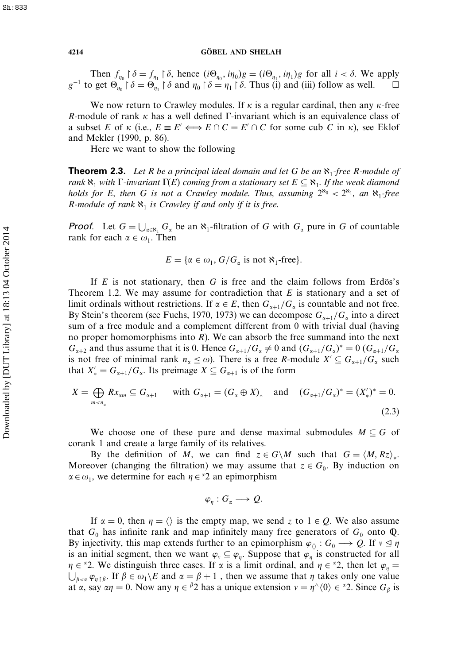Then  $f_{\eta_0} \restriction \delta = f_{\eta_1} \restriction \delta$ , hence  $(i\Theta_{\eta_0}, i\eta_0)g = (i\Theta_{\eta_1}, i\eta_1)g$  for all  $i < \delta$ . We apply  $g^{-1}$  to get  $\Theta_{\eta_0} \upharpoonright \delta = \Theta_{\eta_1} \upharpoonright \delta$  and  $\eta_0 \upharpoonright \delta = \eta_1 \upharpoonright \delta$ . Thus (i) and (iii) follow as well.  $\Box$  $\Box$ 

We now return to Crawley modules. If  $\kappa$  is a regular cardinal, then any  $\kappa$ -free R-module of rank  $\kappa$  has a well defined  $\Gamma$ -invariant which is an equivalence class of a subset E of  $\kappa$  (i.e.,  $E = E' \Longleftrightarrow E \cap C = E' \cap C$  for some cub C in  $\kappa$ ), see Eklof and Mekler (1990, p. 86).

Here we want to show the following

**Theorem 2.3.** Let R be a principal ideal domain and let G be an  $\aleph_1$ -free R-module of *rank*  $\aleph_1$  *with*  $\Gamma$ *-invariant*  $\Gamma(E)$  *coming from a stationary set*  $E \subseteq \aleph_1$ *. If the weak diamond holds for* E, then G is not a Crawley module. Thus, assuming  $2^{s_0} < 2^{s_1}$ , an  $\aleph_1$ -free R-module of rank  $\aleph_1$  *is Crawley if and only if it is free.* 

**Proof.** Let  $G = \bigcup_{\alpha \in \mathbb{N}_1} G_{\alpha}$  be an  $\aleph_1$ -filtration of G with  $G_{\alpha}$  pure in G of countable rank for each  $\alpha \in \omega_1$ . Then

$$
E = \{ \alpha \in \omega_1, G/G_\alpha \text{ is not } \aleph_1\text{-free} \}.
$$

If  $E$  is not stationary, then  $G$  is free and the claim follows from Erdös's Theorem 1.2. We may assume for contradiction that  $E$  is stationary and a set of limit ordinals without restrictions. If  $\alpha \in E$ , then  $G_{\alpha+1}/G_{\alpha}$  is countable and not free. By Stein's theorem (see Fuchs, 1970, 1973) we can decompose  $G_{\alpha+1}/G_{\alpha}$  into a direct sum of a free module and a complement different from 0 with trivial dual (having no proper homomorphisms into  $R$ ). We can absorb the free summand into the next  $G_{\alpha+2}$  and thus assume that it is 0. Hence  $G_{\alpha+1}/G_{\alpha} \neq 0$  and  $(G_{\alpha+1}/G_{\alpha})^* = 0$   $(G_{\alpha+1}/G_{\alpha})^*$ is not free of minimal rank  $n_{\alpha} \leq \omega$ ). There is a free R-module  $X' \subseteq G_{\alpha+1}/G_{\alpha}$  such that  $X'_{*} = G_{\alpha+1}/G_{\alpha}$ . Its preimage  $X \subseteq G_{\alpha+1}$  is of the form

$$
X = \bigoplus_{m < n_{\alpha}} Rx_{\alpha m} \subseteq G_{\alpha+1} \quad \text{with } G_{\alpha+1} = (G_{\alpha} \oplus X)_{*} \quad \text{and} \quad (G_{\alpha+1}/G_{\alpha})^{*} = (X'_{*})^{*} = 0. \tag{2.3}
$$

We choose one of these pure and dense maximal submodules  $M \subseteq G$  of corank 1 and create a large family of its relatives.

By the definition of M, we can find  $z \in G\backslash M$  such that  $G = \langle M, Rz \rangle_*$ . Moreover (changing the filtration) we may assume that  $z \in G_0$ . By induction on  $\alpha \in \omega_1$ , we determine for each  $\eta \in \alpha_2$  an epimorphism

$$
\varphi_{\eta}: G_{\alpha} \longrightarrow Q.
$$

If  $\alpha = 0$ , then  $\eta = \langle \rangle$  is the empty map, we send z to  $1 \in Q$ . We also assume that  $G_0$  has infinite rank and map infinitely many free generators of  $G_0$  onto  $\mathbb{Q}$ . By injectivity, this map extends further to an epimorphism  $\varphi_0: G_0 \longrightarrow Q$ . If  $v \leq \eta$ is an initial segment, then we want  $\varphi_{\nu} \subseteq \varphi_n$ . Suppose that  $\varphi_n$  is constructed for all  ∈ 2. We distinguish three cases. If is a limit ordinal, and  ∈ 2, then let  <sup>=</sup>  $\beta_{\leq \alpha} \varphi_{\eta \restriction \beta}$ . If  $\beta \in \omega_1 \setminus E$  and  $\alpha = \beta + 1$ , then we assume that  $\eta$  takes only one value at  $\alpha$ , say  $\alpha \eta = 0$ . Now any  $\eta \in {}^{\beta}2$  has a unique extension  $v = \eta^{\wedge} \langle 0 \rangle \in {}^{\alpha}2$ . Since  $G_{\beta}$  is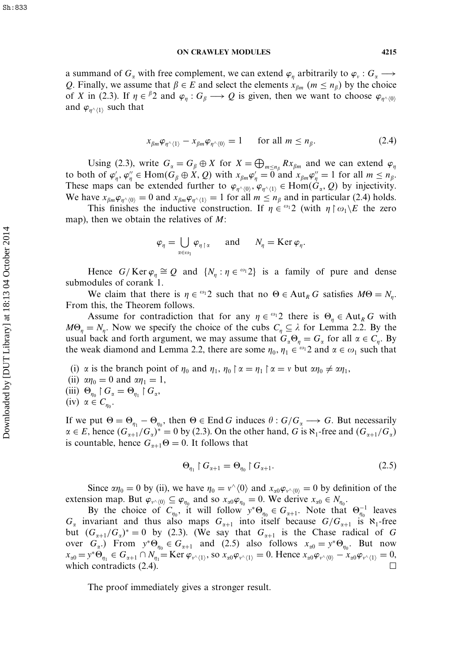a summand of  $G_\alpha$  with free complement, we can extend  $\varphi_\eta$  arbitrarily to  $\varphi_\nu: G_\alpha \longrightarrow$ Q. Finally, we assume that  $\beta \in E$  and select the elements  $x_{\beta m}$  ( $m \le n_{\beta}$ ) by the choice of X in (2.3). If  $\eta \in {}^{\beta}2$  and  $\varphi_{\eta} : G_{\beta} \longrightarrow Q$  is given, then we want to choose  $\varphi_{\eta} \wedge_{(0)}$ and  $\varphi_{n^{\wedge}(1)}$  such that

$$
x_{\beta m} \varphi_{\eta^\wedge \langle 1 \rangle} - x_{\beta m} \varphi_{\eta^\wedge \langle 0 \rangle} = 1 \quad \text{for all } m \le n_\beta. \tag{2.4}
$$

Using (2.3), write  $G_{\alpha} = G_{\beta} \oplus X$  for  $X = \bigoplus_{m \leq n_{\beta}} Rx_{\beta m}$  and we can extend  $\varphi_n$ to both of  $\varphi'_\eta, \varphi''_\eta \in \text{Hom}(G_\beta \oplus X, Q)$  with  $x_{\beta m} \varphi'_\eta = 0$  and  $x_{\beta m} \varphi''_\eta = 1$  for all  $m \le n_\beta$ . These maps can be extended further to  $\varphi_{\eta^{\wedge}(0)}, \varphi_{\eta^{\wedge}(1)} \in \text{Hom}(G_{\alpha}, Q)$  by injectivity. We have  $x_{\beta m} \varphi_{n^{\wedge}(0)} = 0$  and  $x_{\beta m} \varphi_{n^{\wedge}(1)} = 1$  for all  $m \le n_{\beta}$  and in particular (2.4) holds.

This finishes the inductive construction. If  $\eta \in {}^{\omega_1}2$  (with  $\eta \upharpoonright \omega_1 \setminus E$  the zero map), then we obtain the relatives of  $M$ :

$$
\varphi_{\eta} = \bigcup_{\alpha \in \omega_1} \varphi_{\eta \upharpoonright \alpha} \quad \text{and} \quad N_{\eta} = \text{Ker } \varphi_{\eta}.
$$

Hence  $G/Ker \varphi_{\eta} \cong Q$  and  $\{N_{\eta} : \eta \in {}^{\omega_1}2\}$  is a family of pure and dense submodules of corank 1.

We claim that there is  $\eta \in \{0, 1\}$  such that no  $\Theta \in \text{Aut}_R G$  satisfies  $M\Theta = N_\eta$ . From this, the Theorem follows.

Assume for contradiction that for any  $\eta \in \mathbb{S}^1$  there is  $\Theta_{\eta} \in \text{Aut}_R G$  with  $M\Theta_{\eta} = N_{\eta}$ . Now we specify the choice of the cubs  $C_{\eta} \subseteq \lambda$  for Lemma 2.2. By the usual back and forth argument, we may assume that  $G_{\alpha} \Theta_{\eta} = G_{\alpha}$  for all  $\alpha \in C_{\eta}$ . By the weak diamond and Lemma 2.2, there are some  $\eta_0, \eta_1 \in {}^{\omega_1}2$  and  $\alpha \in \omega_1$  such that

(i)  $\alpha$  is the branch point of  $\eta_0$  and  $\eta_1$ ,  $\eta_0 \upharpoonright \alpha = \eta_1 \upharpoonright \alpha = \nu$  but  $\alpha \eta_0 \neq \alpha \eta_1$ , (ii)  $\alpha \eta_0 = 0$  and  $\alpha \eta_1 = 1$ , (iii)  $\Theta_{\eta_0} \upharpoonright G_\alpha = \Theta_{\eta_1} \upharpoonright G_\alpha$ , (iv)  $\alpha \in C_{\eta_0}$ .

If we put  $\Theta = \Theta_{\eta_1} - \Theta_{\eta_0}$ , then  $\Theta \in \text{End } G$  induces  $\theta : G/G_\alpha \longrightarrow G$ . But necessarily  $\alpha \in E$ , hence  $(G_{\alpha+1}/G_{\alpha})^* = 0$  by (2.3). On the other hand, G is  $\aleph_1$ -free and  $(G_{\alpha+1}/G_{\alpha})$ is countable, hence  $G_{\alpha+1}\Theta = 0$ . It follows that

$$
\Theta_{\eta_1} \upharpoonright G_{\alpha+1} = \Theta_{\eta_0} \upharpoonright G_{\alpha+1}.
$$
\n(2.5)

Since  $\alpha \eta_0 = 0$  by (ii), we have  $\eta_0 = v^{\wedge} \langle 0 \rangle$  and  $x_{\alpha 0} \varphi_{v^{\wedge} \langle 0 \rangle} = 0$  by definition of the extension map. But  $\varphi_{v \wedge (0)} \subseteq \varphi_{\eta_0}$  and so  $x_{\alpha 0} \varphi_{\eta_0} = 0$ . We derive  $x_{\alpha 0} \in N_{\eta_0}$ .

By the choice of  $C_{\eta_0}$ , it will follow  $y^*\Theta_{\eta_0} \in G_{\alpha+1}$ . Note that  $\Theta_{\eta_0}^{-1}$  leaves  $G_{\alpha}$  invariant and thus also maps  $G_{\alpha+1}$  into itself because  $G/G_{\alpha+1}$  is  $\aleph_1$ -free but  $(G_{\alpha+1}/G_{\alpha})^* = 0$  by (2.3). (We say that  $G_{\alpha+1}$  is the Chase radical of G over  $G_{\alpha}$ . From  $y^* \Theta_{\eta_0} \in G_{\alpha+1}$  and (2.5) also follows  $x_{\alpha 0} = y^* \Theta_{\eta_0}$ . But now  $x_{\alpha 0} = y^* \Theta_{\eta_1} \in G_{\alpha+1} \cap N_{\eta_1} = \text{Ker } \varphi_{\nu^{\wedge}(1)}, \text{ so } x_{\alpha 0} \varphi_{\nu^{\wedge}(1)} = 0.$  Hence  $x_{\alpha 0} \varphi_{\nu^{\wedge}(0)} - x_{\alpha 0} \varphi_{\nu^{\wedge}(1)} = 0,$ which contradicts (2.4).  $\Box$ 

The proof immediately gives a stronger result.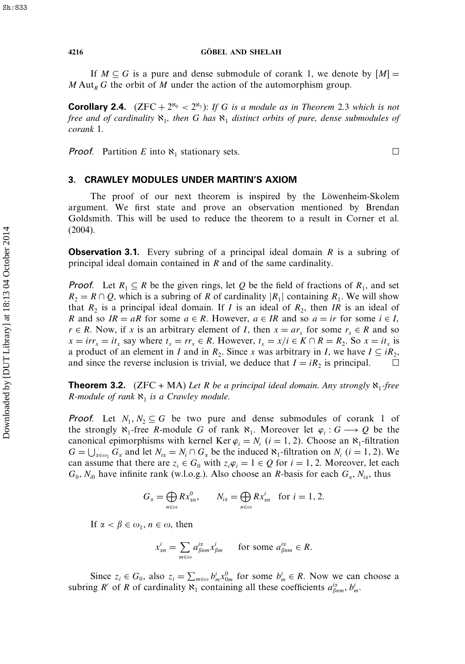### **4216 GÖBEL AND SHELAH**

If  $M \subseteq G$  is a pure and dense submodule of corank 1, we denote by  $[M] =$  $M$  Aut<sub>R</sub> G the orbit of M under the action of the automorphism group.

**Corollary 2.4.**  $(ZFC + 2^{\aleph_0} < 2^{\aleph_1})$ : *If G is a module as in Theorem* 2.3 which is not *free and of cardinality*  $\aleph_1$ *, then* G *has*  $\aleph_1$  *distinct orbits of pure, dense submodules of corank* 1*.*

**Proof.** Partition E into  $\aleph_1$  stationary sets.

# $\Box$

# 3. CRAWLEY MODULES UNDER MARTIN'S AXIOM

The proof of our next theorem is inspired by the Löwenheim-Skolem argument. We first state and prove an observation mentioned by Brendan Goldsmith. This will be used to reduce the theorem to a result in Corner et al. (2004).

**Observation 3.1.** Every subring of a principal ideal domain  $R$  is a subring of principal ideal domain contained in R and of the same cardinality.

**Proof.** Let  $R_1 \subseteq R$  be the given rings, let Q be the field of fractions of  $R_1$ , and set  $R_2 = R \cap Q$ , which is a subring of R of cardinality  $|R_1|$  containing  $R_1$ . We will show that  $R_2$  is a principal ideal domain. If I is an ideal of  $R_2$ , then IR is an ideal of R and so  $IR = aR$  for some  $a \in R$ . However,  $a \in IR$  and so  $a = ir$  for some  $i \in I$ ,  $r \in R$ . Now, if x is an arbitrary element of I, then  $x = ar_x$  for some  $r_x \in R$  and so  $x = irr_x = it_x$  say where  $t_x = rr_x \in R$ . However,  $t_x = x/i \in K \cap R = R_2$ . So  $x = it_x$  is a product of an element in I and in  $R_2$ . Since x was arbitrary in I, we have  $I \subseteq iR_2$ , and since the reverse inclusion is trivial, we deduce that  $I = iR_2$  is principal. and since the reverse inclusion is trivial, we deduce that  $I = iR_2$  is principal.

**Theorem 3.2.** (ZFC + MA) Let R be a principal ideal domain. Any strongly  $\aleph_1$ -free *R*-module of rank  $\aleph_1$  *is a Crawley module.* 

**Proof.** Let  $N_1, N_2 \subseteq G$  be two pure and dense submodules of corank 1 of the strongly  $\aleph_1$ -free R-module G of rank  $\aleph_1$ . Moreover let  $\varphi_i : G \longrightarrow Q$  be the canonical epimorphisms with kernel Ker  $\varphi_i = N_i$   $(i = 1, 2)$ . Choose an  $\aleph_1$ -filtration  $G = \bigcup_{\alpha \in \omega_1} G_{\alpha}$  and let  $N_{i\alpha} = N_i \cap G_{\alpha}$  be the induced  $\aleph_1$ -filtration on  $N_i$  ( $i = 1, 2$ ). We can assume that there are  $z_i \in G_0$  with  $z_i \varphi_i = 1 \in Q$  for  $i = 1, 2$ . Moreover, let each  $G_0$ ,  $N_{i0}$  have infinite rank (w.l.o.g.). Also choose an *R*-basis for each  $G_\alpha$ ,  $N_{i\alpha}$ , thus

$$
G_{\alpha} = \bigoplus_{n \in \omega} Rx_{\alpha n}^{0}, \qquad N_{i\alpha} = \bigoplus_{n \in \omega} Rx_{\alpha n}^{i} \quad \text{for } i = 1, 2.
$$

If  $\alpha < \beta \in \omega_1$ ,  $n \in \omega$ , then

$$
x_{\alpha n}^i = \sum_{m \in \omega} a_{\beta n m}^{i\alpha} x_{\beta m}^i \quad \text{for some } a_{\beta n m}^{i\alpha} \in R.
$$

Since  $z_i \in G_0$ , also  $z_i = \sum_{m \in \omega} b_m^i x_{0m}^0$  for some  $b_m^i \in R$ . Now we can choose a subring R' of R of cardinality  $\aleph_1$  containing all these coefficients  $a_{\beta nm}^{i\alpha}$ ,  $b_m^i$ .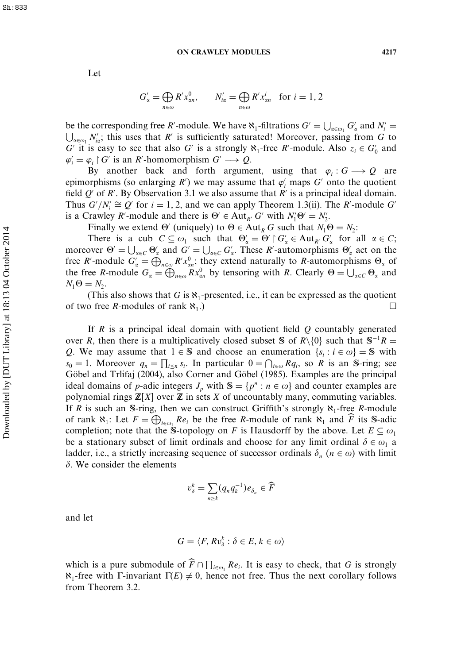### **ON CRAWLEY MODULES 4217**

Let

$$
G'_{\alpha} = \bigoplus_{n \in \omega} R' x_{\alpha n}^0, \qquad N'_{i\alpha} = \bigoplus_{n \in \omega} R' x_{\alpha n}^i \quad \text{for } i = 1, 2
$$

be the corresponding free R'-module. We have  $\aleph_1$ -filtrations  $G' = \bigcup_{\alpha \in \omega_1} G'_\alpha$  and  $N'_i$ be the corresponding free *R* -module. We have  $N_1$ -filtrations  $G' = \bigcup_{\alpha \in \omega_1} G'_\alpha$  and  $N'_i = \bigcup_{\alpha \in \omega_1} N'_{i\alpha}$ ; this uses that *R'* is sufficiently saturated! Moreover, passing from *G* to G' it is easy to see that also G' is a strongly  $\aleph_1$ -free R'-module. Also  $z_i \in G'_0$  and  $\varphi_i' = \varphi_i \upharpoonright G'$  is an R'-homomorphism  $G' \longrightarrow Q$ .

By another back and forth argument, using that  $\varphi_i : G \longrightarrow Q$  are epimorphisms (so enlarging R') we may assume that  $\varphi_i$  maps G' onto the quotient field  $Q'$  of R'. By Observation 3.1 we also assume that R' is a principal ideal domain. Thus  $G'/N_i' \cong Q'$  for  $i = 1, 2$ , and we can apply Theorem 1.3(ii). The *R'*-module *G'* is a Crawley R'-module and there is  $\Theta' \in \text{Aut}_{R'} G'$  with  $N'_1 \Theta' = N'_2$ .

Finally we extend  $\Theta'$  (uniquely) to  $\Theta \in \text{Aut}_R G$  such that  $N_1 \Theta = N_2$ :

There is a cub  $C \subseteq \omega_1$  such that  $\Theta'_\alpha = \Theta' \upharpoonright G'_\alpha \in \text{Aut}_{R'} G'_\alpha$  for all  $\alpha \in C$ ; moreover  $\Theta' = \bigcup_{\alpha \in C} \Theta'_{\alpha}$  and  $G' = \bigcup_{\alpha \in C} G'_{\alpha}$ . These R'-automorphisms  $\Theta'_{\alpha}$  act on the free R'-module  $G'_\alpha = \bigoplus_{n \in \omega} R' x_{\alpha n}^0$ ; they extend naturally to R-automorphisms  $\Theta_\alpha$  of the free R-module  $G_{\alpha} = \bigoplus_{n \in \omega} R x_{\alpha n}^0$  by tensoring with R. Clearly  $\Theta = \bigcup_{\alpha \in C} \Theta_{\alpha}$  and  $N_1\Theta = N_2.$ 

(This also shows that G is  $\aleph_1$ -presented, i.e., it can be expressed as the quotient o free R-modules of rank  $\aleph$ .) of two free *R*-modules of rank  $\aleph_1$ .)

If R is a principal ideal domain with quotient field  $Q$  countably generated over R, then there is a multiplicatively closed subset S of R\{0} such that  $S^{-1}R =$ Q. We may assume that  $1 \in S$  and choose an enumeration  $\{s_i : i \in \omega\} = S$  with  $s_0 = 1$ . Moreover  $q_n = \prod_{i \leq n} s_i$ . In particular  $0 = \bigcap_{i \in \omega} Rq_i$ , so R is an S-ring; see Göbel and Trlifaj (2004), also Corner and Göbel (1985). Examples are the principal ideal domains of p-adic integers  $J_p$  with  $\mathbb{S} = \{p^n : n \in \omega\}$  and counter examples are polynomial rings  $\mathbb{Z}[X]$  over  $\mathbb Z$  in sets X of uncountably many, commuting variables. If R is such an S-ring, then we can construct Griffith's strongly  $\aleph_1$ -free R-module of rank  $\aleph_1$ : Let  $F = \bigoplus_{i \in \omega_1} Re_i$  be the free R-module of rank  $\aleph_1$  and  $\widehat{F}$  its S-adic completion; note that the S-topology on F is Hausdorff by the above. Let  $E \subseteq \omega_1$ be a stationary subset of limit ordinals and choose for any limit ordinal  $\delta \in \omega_1$  a ladder, i.e., a strictly increasing sequence of successor ordinals  $\delta_n$  ( $n \in \omega$ ) with limit  $\delta$ . We consider the elements

$$
v_{\delta}^k = \sum_{n \ge k} (q_n q_k^{-1}) e_{\delta_n} \in \widehat{F}
$$

and let

$$
G = \langle F, R v_{\delta}^k : \delta \in E, k \in \omega \rangle
$$

which is a pure submodule of  $\widehat{F} \cap \prod_{i \in \omega_1} Re_i$ . It is easy to check, that G is strongly  $\aleph_1$ -free with  $\Gamma$ -invariant  $\Gamma(E) \neq 0$ , hence not free. Thus the next corollary follows from Theorem 3.2.